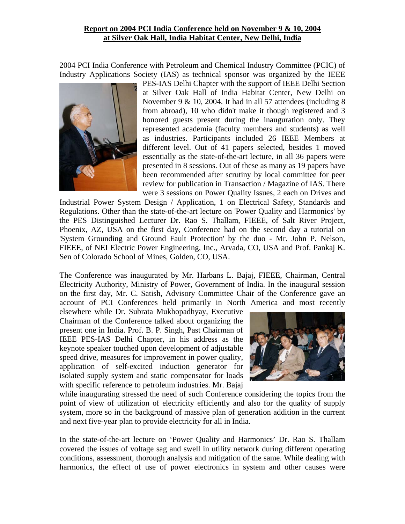## **Report on 2004 PCI India Conference held on November 9 & 10, 2004 at Silver Oak Hall, India Habitat Center, New Delhi, India**

2004 PCI India Conference with Petroleum and Chemical Industry Committee (PCIC) of Industry Applications Society (IAS) as technical sponsor was organized by the IEEE



PES-IAS Delhi Chapter with the support of IEEE Delhi Section at Silver Oak Hall of India Habitat Center, New Delhi on November 9 & 10, 2004. It had in all 57 attendees (including 8 from abroad), 10 who didn't make it though registered and 3 honored guests present during the inauguration only. They represented academia (faculty members and students) as well as industries. Participants included 26 IEEE Members at different level. Out of 41 papers selected, besides 1 moved essentially as the state-of-the-art lecture, in all 36 papers were presented in 8 sessions. Out of these as many as 19 papers have been recommended after scrutiny by local committee for peer review for publication in Transaction / Magazine of IAS. There were 3 sessions on Power Quality Issues, 2 each on Drives and

Industrial Power System Design / Application, 1 on Electrical Safety, Standards and Regulations. Other than the state-of-the-art lecture on 'Power Quality and Harmonics' by the PES Distinguished Lecturer Dr. Rao S. Thallam, FIEEE, of Salt River Project, Phoenix, AZ, USA on the first day, Conference had on the second day a tutorial on 'System Grounding and Ground Fault Protection' by the duo - Mr. John P. Nelson, FIEEE, of NEI Electric Power Engineering, Inc., Arvada, CO, USA and Prof. Pankaj K. Sen of Colorado School of Mines, Golden, CO, USA.

The Conference was inaugurated by Mr. Harbans L. Bajaj, FIEEE, Chairman, Central Electricity Authority, Ministry of Power, Government of India. In the inaugural session on the first day, Mr. C. Satish, Advisory Committee Chair of the Conference gave an account of PCI Conferences held primarily in North America and most recently

elsewhere while Dr. Subrata Mukhopadhyay, Executive Chairman of the Conference talked about organizing the present one in India. Prof. B. P. Singh, Past Chairman of IEEE PES-IAS Delhi Chapter, in his address as the keynote speaker touched upon development of adjustable speed drive, measures for improvement in power quality, application of self-excited induction generator for isolated supply system and static compensator for loads with specific reference to petroleum industries. Mr. Bajaj



while inaugurating stressed the need of such Conference considering the topics from the point of view of utilization of electricity efficiently and also for the quality of supply system, more so in the background of massive plan of generation addition in the current and next five-year plan to provide electricity for all in India.

In the state-of-the-art lecture on 'Power Quality and Harmonics' Dr. Rao S. Thallam covered the issues of voltage sag and swell in utility network during different operating conditions, assessment, thorough analysis and mitigation of the same. While dealing with harmonics, the effect of use of power electronics in system and other causes were